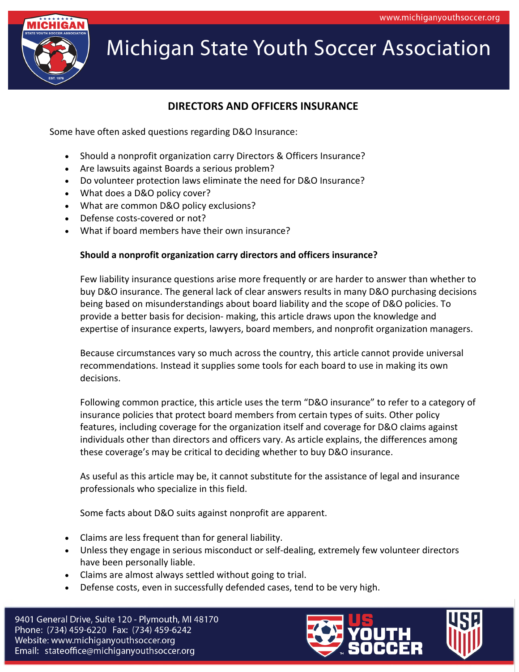

### **DIRECTORS AND OFFICERS INSURANCE**

Some have often asked questions regarding D&O Insurance:

- Should a nonprofit organization carry Directors & Officers Insurance?
- Are lawsuits against Boards a serious problem?
- Do volunteer protection laws eliminate the need for D&O Insurance?
- What does a D&O policy cover?
- What are common D&O policy exclusions?
- Defense costs-covered or not?
- What if board members have their own insurance?

#### **Should a nonprofit organization carry directors and officers insurance?**

Few liability insurance questions arise more frequently or are harder to answer than whether to buy D&O insurance. The general lack of clear answers results in many D&O purchasing decisions being based on misunderstandings about board liability and the scope of D&O policies. To provide a better basis for decision- making, this article draws upon the knowledge and expertise of insurance experts, lawyers, board members, and nonprofit organization managers.

Because circumstances vary so much across the country, this article cannot provide universal recommendations. Instead it supplies some tools for each board to use in making its own decisions.

Following common practice, this article uses the term "D&O insurance" to refer to a category of insurance policies that protect board members from certain types of suits. Other policy features, including coverage for the organization itself and coverage for D&O claims against individuals other than directors and officers vary. As article explains, the differences among these coverage's may be critical to deciding whether to buy D&O insurance.

As useful as this article may be, it cannot substitute for the assistance of legal and insurance professionals who specialize in this field.

Some facts about D&O suits against nonprofit are apparent.

- Claims are less frequent than for general liability.
- Unless they engage in serious misconduct or self-dealing, extremely few volunteer directors have been personally liable.
- Claims are almost always settled without going to trial.
- Defense costs, even in successfully defended cases, tend to be very high.

9401 General Drive, Suite 120 - Plymouth, MI 48170 Phone: (734) 459-6220 Fax: (734) 459-6242 Website: www.michiganyouthsoccer.org Email: stateoffice@michiganyouthsoccer.org

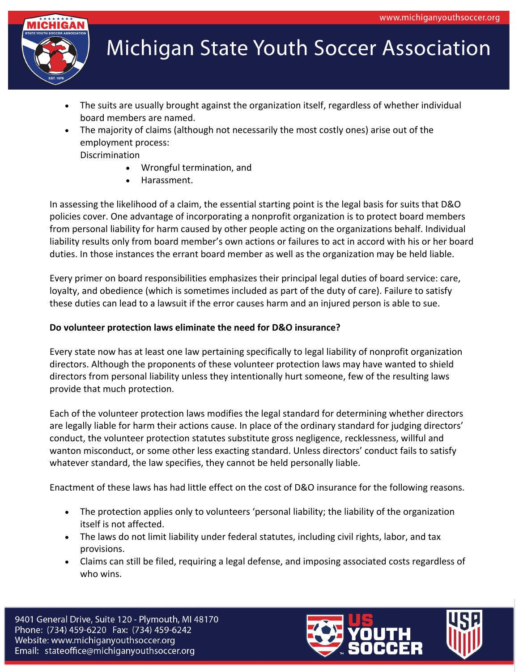

- The suits are usually brought against the organization itself, regardless of whether individual board members are named.
- The majority of claims (although not necessarily the most costly ones) arise out of the employment process:

Discrimination

- Wrongful termination, and
- Harassment.

In assessing the likelihood of a claim, the essential starting point is the legal basis for suits that D&O policies cover. One advantage of incorporating a nonprofit organization is to protect board members from personal liability for harm caused by other people acting on the organizations behalf. Individual liability results only from board member's own actions or failures to act in accord with his or her board duties. In those instances the errant board member as well as the organization may be held liable.

Every primer on board responsibilities emphasizes their principal legal duties of board service: care, loyalty, and obedience (which is sometimes included as part of the duty of care). Failure to satisfy these duties can lead to a lawsuit if the error causes harm and an injured person is able to sue.

#### **Do volunteer protection laws eliminate the need for D&O insurance?**

Every state now has at least one law pertaining specifically to legal liability of nonprofit organization directors. Although the proponents of these volunteer protection laws may have wanted to shield directors from personal liability unless they intentionally hurt someone, few of the resulting laws provide that much protection.

Each of the volunteer protection laws modifies the legal standard for determining whether directors are legally liable for harm their actions cause. In place of the ordinary standard for judging directors' conduct, the volunteer protection statutes substitute gross negligence, recklessness, willful and wanton misconduct, or some other less exacting standard. Unless directors' conduct fails to satisfy whatever standard, the law specifies, they cannot be held personally liable.

Enactment of these laws has had little effect on the cost of D&O insurance for the following reasons.

- The protection applies only to volunteers 'personal liability; the liability of the organization itself is not affected.
- The laws do not limit liability under federal statutes, including civil rights, labor, and tax provisions.
- Claims can still be filed, requiring a legal defense, and imposing associated costs regardless of who wins.

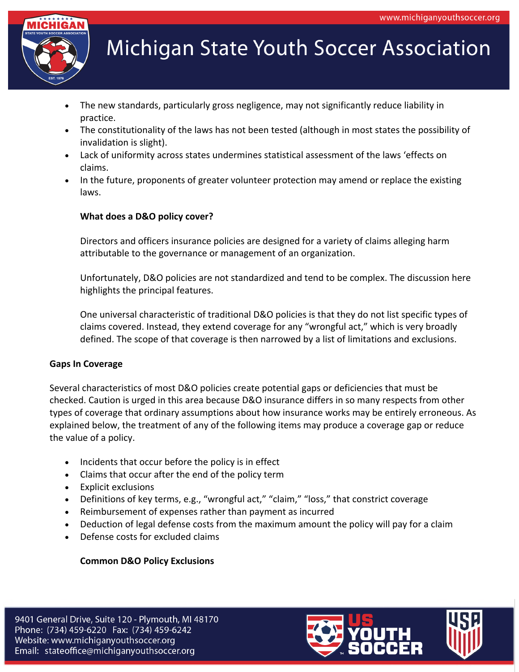

- The new standards, particularly gross negligence, may not significantly reduce liability in practice.
- The constitutionality of the laws has not been tested (although in most states the possibility of invalidation is slight).
- Lack of uniformity across states undermines statistical assessment of the laws 'effects on claims.
- In the future, proponents of greater volunteer protection may amend or replace the existing laws.

### **What does a D&O policy cover?**

Directors and officers insurance policies are designed for a variety of claims alleging harm attributable to the governance or management of an organization.

Unfortunately, D&O policies are not standardized and tend to be complex. The discussion here highlights the principal features.

One universal characteristic of traditional D&O policies is that they do not list specific types of claims covered. Instead, they extend coverage for any "wrongful act," which is very broadly defined. The scope of that coverage is then narrowed by a list of limitations and exclusions.

#### **Gaps In Coverage**

Several characteristics of most D&O policies create potential gaps or deficiencies that must be checked. Caution is urged in this area because D&O insurance differs in so many respects from other types of coverage that ordinary assumptions about how insurance works may be entirely erroneous. As explained below, the treatment of any of the following items may produce a coverage gap or reduce the value of a policy.

- Incidents that occur before the policy is in effect
- Claims that occur after the end of the policy term
- Explicit exclusions
- Definitions of key terms, e.g., "wrongful act," "claim," "loss," that constrict coverage
- Reimbursement of expenses rather than payment as incurred
- Deduction of legal defense costs from the maximum amount the policy will pay for a claim
- Defense costs for excluded claims

#### **Common D&O Policy Exclusions**

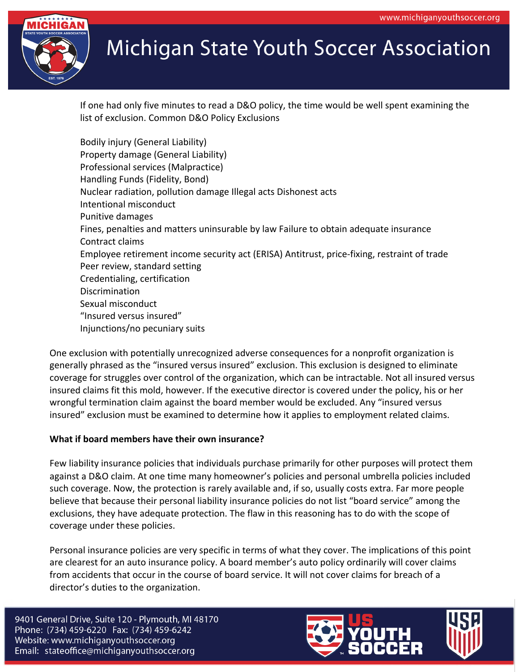

If one had only five minutes to read a D&O policy, the time would be well spent examining the list of exclusion. Common D&O Policy Exclusions

Bodily injury (General Liability) Property damage (General Liability) Professional services (Malpractice) Handling Funds (Fidelity, Bond) Nuclear radiation, pollution damage Illegal acts Dishonest acts Intentional misconduct Punitive damages Fines, penalties and matters uninsurable by law Failure to obtain adequate insurance Contract claims Employee retirement income security act (ERISA) Antitrust, price-fixing, restraint of trade Peer review, standard setting Credentialing, certification **Discrimination** Sexual misconduct "Insured versus insured" Injunctions/no pecuniary suits

One exclusion with potentially unrecognized adverse consequences for a nonprofit organization is generally phrased as the "insured versus insured" exclusion. This exclusion is designed to eliminate coverage for struggles over control of the organization, which can be intractable. Not all insured versus insured claims fit this mold, however. If the executive director is covered under the policy, his or her wrongful termination claim against the board member would be excluded. Any "insured versus insured" exclusion must be examined to determine how it applies to employment related claims.

#### **What if board members have their own insurance?**

Few liability insurance policies that individuals purchase primarily for other purposes will protect them against a D&O claim. At one time many homeowner's policies and personal umbrella policies included such coverage. Now, the protection is rarely available and, if so, usually costs extra. Far more people believe that because their personal liability insurance policies do not list "board service" among the exclusions, they have adequate protection. The flaw in this reasoning has to do with the scope of coverage under these policies.

Personal insurance policies are very specific in terms of what they cover. The implications of this point are clearest for an auto insurance policy. A board member's auto policy ordinarily will cover claims from accidents that occur in the course of board service. It will not cover claims for breach of a director's duties to the organization.

9401 General Drive, Suite 120 - Plymouth, MI 48170 Phone: (734) 459-6220 Fax: (734) 459-6242 Website: www.michiganyouthsoccer.org Email: stateoffice@michiganyouthsoccer.org